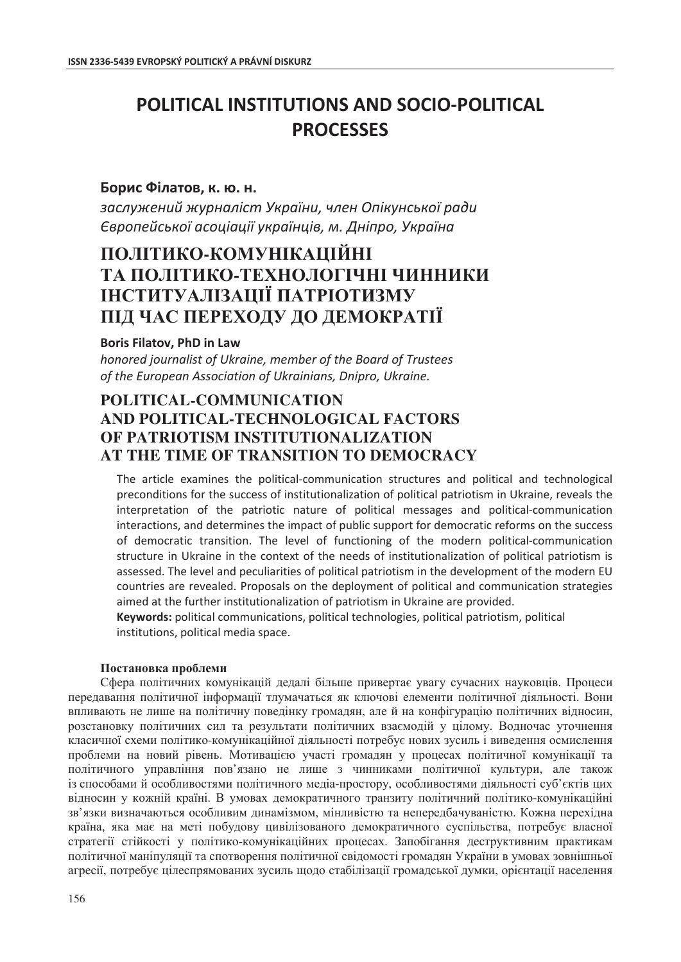# **POLITICAL INSTITUTIONS AND SOCIO-POLITICAL PROCESSES**

### Борис Філатов, к. ю. н.

заслужений журналіст України, член Опікунської ради *˒̶̶̶̨̡̨̨̡̬̪̖̜̭̟̭̞̞̟̱̬̟̦̞͕̥̏̽̌̌̌̏͘ʪ̨̦̞̪̬͕˄̡̬̟̦̌̌*

## **ɉɈɅȱɌɂɄɈ-ɄɈɆɍɇȱɄȺɐȱɃɇȱ**  ТА ПОЛІТИКО-ТЕХНОЛОГІЧНІ ЧИННИКИ **ȱɇɋɌɂɌɍȺɅȱɁȺɐȱȲ ɉȺɌɊȱɈɌɂɁɆɍ ɉȱȾ ɑȺɋ ɉȿɊȿɏɈȾɍ ȾɈ ȾȿɆɈɄɊȺɌȱȲ**

#### **Boris Filatov, PhD in Law**

*honored journalist of Ukraine, member of the Board of Trustees* of the European Association of Ukrainians, Dnipro, Ukraine.

### **POLITICAL-COMMUNICATION AND POLITICAL-TECHNOLOGICAL FACTORS OF PATRIOTISM INSTITUTIONALIZATION AT THE TIME OF TRANSITION TO DEMOCRACY**

The article examines the political-communication structures and political and technological preconditions for the success of institutionalization of political patriotism in Ukraine, reveals the interpretation of the patriotic nature of political messages and political-communication interactions, and determines the impact of public support for democratic reforms on the success of democratic transition. The level of functioning of the modern political-communication structure in Ukraine in the context of the needs of institutionalization of political patriotism is assessed. The level and peculiarities of political patriotism in the development of the modern EU countries are revealed. Proposals on the deployment of political and communication strategies aimed at the further institutionalization of patriotism in Ukraine are provided.

Keywords: political communications, political technologies, political patriotism, political institutions, political media space.

#### Постановка проблеми

Сфера політичних комунікацій дедалі більше привертає увагу сучасних науковців. Процеси передавання політичної інформації тлумачаться як ключові елементи політичної діяльності. Вони впливають не лише на політичну повелінку громалян, але й на конфігурацію політичних вілносин, розстановку політичних сил та результати політичних взаємодій у цілому. Водночас уточнення класичної схеми політико-комунікаційної діяльності потребує нових зусиль і виведення осмислення проблеми на новий рівень. Мотивацією участі громадян у процесах політичної комунікації та політичного управління пов'язано не лише з чинниками політичної культури, але також із способами й особливостями політичного медіа-простору, особливостями діяльності суб'єктів цих вілносин у кожній країні. В умовах лемократичного транзиту політичний політико-комунікаційні зв'язки визначаються особливим динамізмом, мінливістю та непередбачуваністю. Кожна перехідна країна, яка має на меті побудову цивілізованого демократичного суспільства, потребує власної стратегії стійкості у політико-комунікаційних процесах. Запобігання деструктивним практикам політичної маніпуляції та спотворення політичної свідомості громадян України в умовах зовнішньої агресії, потребує цілеспрямованих зусиль щодо стабілізації громадської думки, орієнтації населення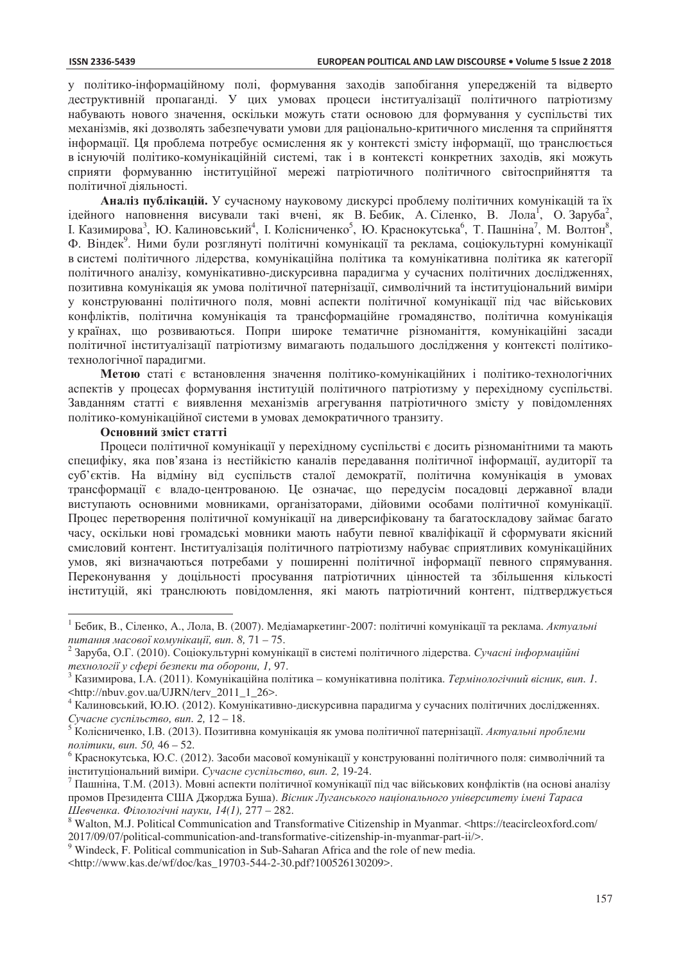у політико-інформаційному полі, формування заходів запобігання упередженій та відверто деструктивній пропаганді. У цих умовах процеси інституалізації політичного патріотизму набувають нового значення, оскільки можуть стати основою для формування у суспільстві тих механізмів, які дозволять забезпечувати умови для раціонально-критичного мислення та сприйняття інформації. Ця проблема потребує осмислення як у контексті змісту інформації, що транслюється в існуючій політико-комунікаційній системі, так і в контексті конкретних захолів, які можуть сприяти формуванню інституційної мережі патріотичного політичного світосприйняття та політичної діяльності.

Аналіз публікацій. У сучасному науковому дискурсі проблему політичних комунікацій та їх ідейного наповнення висували такі вчені, як В.Бебик, А.Сіленко, В. Лола<sup>1</sup>, О.Заруба<sup>2</sup>, I. Казимирова<sup>3</sup>, Ю. Калиновський<sup>4</sup>, I. Колісниченко<sup>5</sup>, Ю. Краснокутська<sup>6</sup>, Т. Пашніна<sup>7</sup>, М. Волтон<sup>8</sup>, Ф. Віндек<sup>9</sup>. Ними були розглянуті політичні комунікації та реклама, соціокультурні комунікації в системі політичного лідерства, комунікаційна політика та комунікативна політика як категорії політичного аналізу, комунікативно-дискурсивна парадигма у сучасних політичних дослідженнях, позитивна комунікація як умова політичної патернізації, символічний та інституціональний виміри у конструюванні політичного поля, мовні аспекти політичної комунікації під час військових конфліктів, політична комунікація та трансформаційне громадянство, політична комунікація у країнах, що розвиваються. Попри широке тематичне різноманіття, комунікаційні засади політичної інституалізації патріотизму вимагають подальшого дослідження у контексті політикотехнологічної паралигми.

Метою статі є встановлення значення політико-комунікаційних і політико-технологічних аспектів у процесах формування інституцій політичного патріотизму у перехідному суспільстві. Завданням статті є виявлення механізмів агрегування патріотичного змісту у повідомленнях політико-комунікаційної системи в умовах демократичного транзиту.

#### **Основний зміст статті**

 $\overline{a}$ 

Процеси політичної комунікації у перехідному суспільстві є досить різноманітними та мають специфіку, яка пов'язана із нестійкістю каналів передавання політичної інформації, аудиторії та суб'єктів. На відміну від суспільств сталої демократії, політична комунікація в умовах трансформації є владо-центрованою. Це означає, що передусім посадовці державної влади виступають основними мовниками, організаторами, дійовими особами політичної комунікації. Процес перетворення політичної комунікації на диверсифіковану та багатоскладову займає багато часу, оскільки нові громадські мовники мають набути певної кваліфікації й сформувати якісний смисловий контент. Інституалізація політичного патріотизму набуває сприятливих комунікаційних умов, які визначаються потребами у поширенні політичної інформації певного спрямування. Переконування у доцільності просування патріотичних цінностей та збільшення кількості інституцій, які транслюють повідомлення, які мають патріотичний контент, підтверджується

<sup>&</sup>lt;sup>1</sup> Бебик, В., Сіленко, А., Лола, В. (2007). Медіамаркетинг-2007: політичні комунікації та реклама. Актуальні *питання масової комунікації, вип. 8, 71 – 75.*<br><sup>2</sup> Заруба, О.Г. (2010). Соціокультурні комунікації в системі політичного лідерства. *Сучасні інформаційні* 

технології у сфері безпеки та оборони, 1, 97.<br><sup>3</sup> Казимирова, І.А. (2011). Комунікаційна політика – комунікативна політика. *Термінологічний вісник, вип. 1*. <http://nbuv.gov.ua/UJRN/terv\_2011\_1\_26>.

<sup>&</sup>lt;sup>4</sup> Калиновський, Ю.Ю. (2012). Комунікативно-дискурсивна парадигма у сучасних політичних дослідженнях. *ɋɭɱɚɫɧɟ ɫɭɫɩɿɥɶɫɬɜɨ, ɜɢɩ. 2,* 12 – 18.

<sup>&</sup>lt;sup>5</sup> Ҡолісниченко, І.В. (2013). Позитивна комунікація як умова політичної патернізації. Актуальні проблеми  $n$ *олітики*, вип. 50, 46 – 52.

 $^6$  Краснокутська, Ю.С. (2012). Засоби масової комунікації у конструюванні політичного поля: символічний та інституціональний виміри. *Сучасне суспільство, вип.* 2, 19-24.<br><sup>7</sup> Пашніна, Т.М. (2013). Мовні аспекти політичної комунікації під час військових конфліктів (на основі аналізу

промов Президента США Джорджа Буша). Вісник Луганського національного університету імені Тараса *ɒɟɜɱɟɧɤɚ. Ɏɿɥɨɥɨɝɿɱɧɿ ɧɚɭɤɢ, 14(1),* 277 – 282. 8

Walton, M.J. Political Communication and Transformative Citizenship in Myanmar. <https://teacircleoxford.com/ 2017/09/07/political-communication-and-transformative-citizenship-in-myanmar-part-ii/>.

<sup>&</sup>lt;sup>9</sup> Windeck, F. Political communication in Sub-Saharan Africa and the role of new media.

<sup>&</sup>lt;http://www.kas.de/wf/doc/kas\_19703-544-2-30.pdf?100526130209>.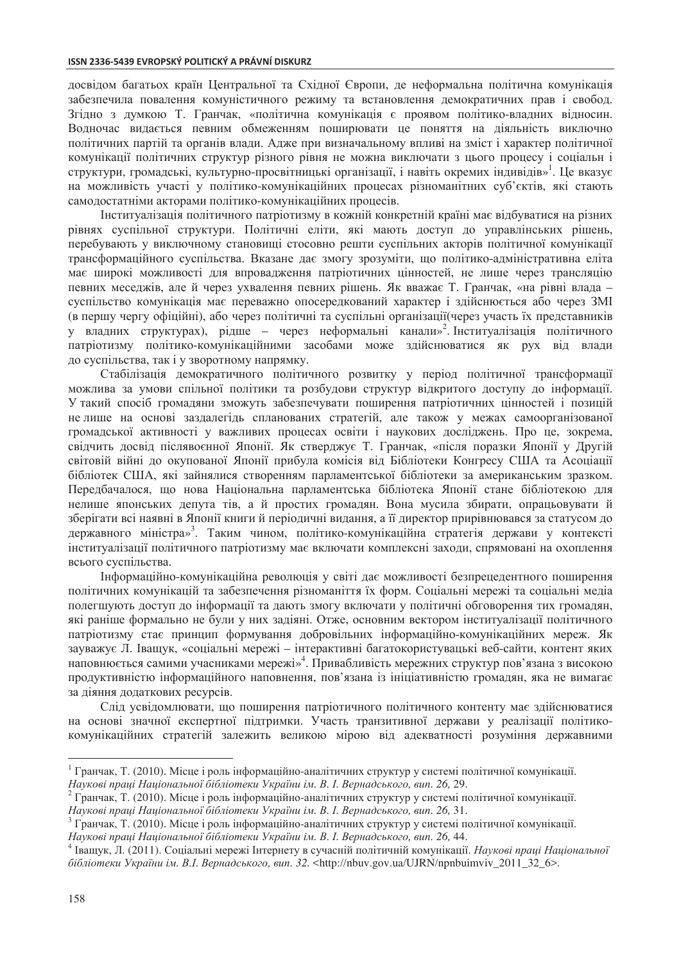#### **ISSN 2336-5439 EVROPSKÝ POLITICKÝ A PRÁVNÍ DISKURZ**

досвідом багатьох країн Центральної та Східної Європи, де неформальна політична комунікація забезпечила повалення комуністичного режиму та встановлення демократичних прав і свобод. Згідно з думкою Т. Гранчак, «політична комунікація є проявом політико-владних відносин. Водночас видається певним обмеженням поширювати це поняття на діяльність виключно політичних партій та органів влади. Адже при визначальному впливі на зміст і характер політичної комунікації політичних структур різного рівня не можна виключати з цього процесу і соціальн і структури, громадські, культурно-просвітницькі організації, і навіть окремих індивідів»<sup>1</sup>. Це вказує на можливість участі у політико-комунікаційних процесах різноманітних суб'єктів, які стають самодостатніми акторами політико-комунікаційних процесів.

Інституалізація політичного патріотизму в кожній конкретній країні має відбуватися на різних рівнях суспільної структури. Політичні еліти, які мають доступ до управлінських рішень, перебувають у виключному становищі стосовно решти суспільних акторів політичної комунікації трансформаційного суспільства. Вказане дає змогу зрозуміти, що політико-адміністративна еліта має широкі можливості лля впровалження патріотичних пінностей, не лише через трансляцію певних меседжів, але й через ухвалення певних рішень. Як вважає Т. Гранчак, «на рівні влада суспільство комунікація має переважно опосередкований характер і здійснюється або через ЗМІ (в першу чергу офіційні), або через політичні та суспільні організації(через участь їх представників у владних структурах), рідше – через неформальні канали»<sup>2</sup> Інституалізація політичного патріотизму політико-комунікаційними засобами може здійснюватися як рух від влади до суспільства, так і у зворотному напрямку.

Стабілізація демократичного політичного розвитку у період політичної трансформації можлива за умови спільної політики та розбудови структур відкритого доступу до інформації. У такий спосіб громадяни зможуть забезпечувати поширення патріотичних цінностей і позицій не лише на основі заздалегідь спланованих стратегій, але також у межах самоорганізованої громадської активності у важливих процесах освіти і наукових досліджень. Про це, зокрема, свідчить досвід післявоєнної Японії. Як стверджує Т. Гранчак, «після поразки Японії у Другій світовій війні до окупованої Японії прибула комісія від Бібліотеки Конгресу США та Асоціації бібліотек США, які зайнялися створенням парламентської бібліотеки за американським зразком. Передбачалося, що нова Національна парламентська бібліотека Японії стане бібліотекою для нелише японських депута тів, а й простих громадян. Вона мусила збирати, опрацьовувати й зберігати всі наявні в Японії книги й періодичні видання, а її директор прирівнювався за статусом до державного міністра»<sup>3</sup>. Таким чином, політико-комунікаційна стратегія держави у контексті інституалізації політичного патріотизму має включати комплексні заходи, спрямовані на охоплення всього суспільства.

Ниформаційно-комунікаційна революція у світі дає можливості безпрецедентного поширення політичних комунікацій та забезпечення різноманіття їх форм. Соціальні мережі та соціальні медіа полегшують доступ до інформації та дають змогу включати у політичні обговорення тих громадян, які раніше формально не були у них задіяні. Отже, основним вектором інституалізації політичного патріотизму стає принцип формування добровільних інформаційно-комунікаційних мереж. Як зауважує Л. Іващук, «соціальні мережі – інтерактивні багатокористувацькі веб-сайти, контент яких наповнюється самими учасниками мережі»<sup>4</sup>. Привабливість мережних структур пов'язана з високою продуктивністю інформаційного наповнення, пов'язана із ініціативністю громадян, яка не вимагає за діяння додаткових ресурсів.

Слід усвідомлювати, що поширення патріотичного політичного контенту має здійснюватися на основі значної експертної підтримки. Участь транзитивної держави у реалізації політикокомунікаційних стратегій залежить великою мірою від адекватності розуміння державними

 $\overline{a}$ 

<sup>&</sup>lt;sup>1</sup> Гранчак, Т. (2010). Місце і роль інформаційно-аналітичних структур у системі політичної комунікації.<br>Наукові праці Національної бібліотеки України ім. В. І. Вернадського, вип. 26, 29.

<sup>&</sup>lt;sup>2</sup> Гранчак, Т. (2010). Місце і роль інформаційно-аналітичних структур у системі політичної комунікації.

Наукові праці Національної бібліотеки України ім. В. І. Вернадського, вип. 26, 31.<br><sup>3</sup> Гранчак, Т. (2010). Місце і роль інформаційно-аналітичних структур у системі політичної комунікації.

Наукові праці Національної бібліотеки України ім. В. І. Вернадського, вип. 26, 44.<br><sup>4</sup> Іващук, Л. (2011). Соціальні мережі Інтернету в сучасній політичній комунікації. *Наукові праці Національної*  $6i\delta$ *ліотеки України ім. В.І. Вернадського, вип. 32.* <http://nbuv.gov.ua/UJRN/npnbuimviv\_2011\_32\_6>.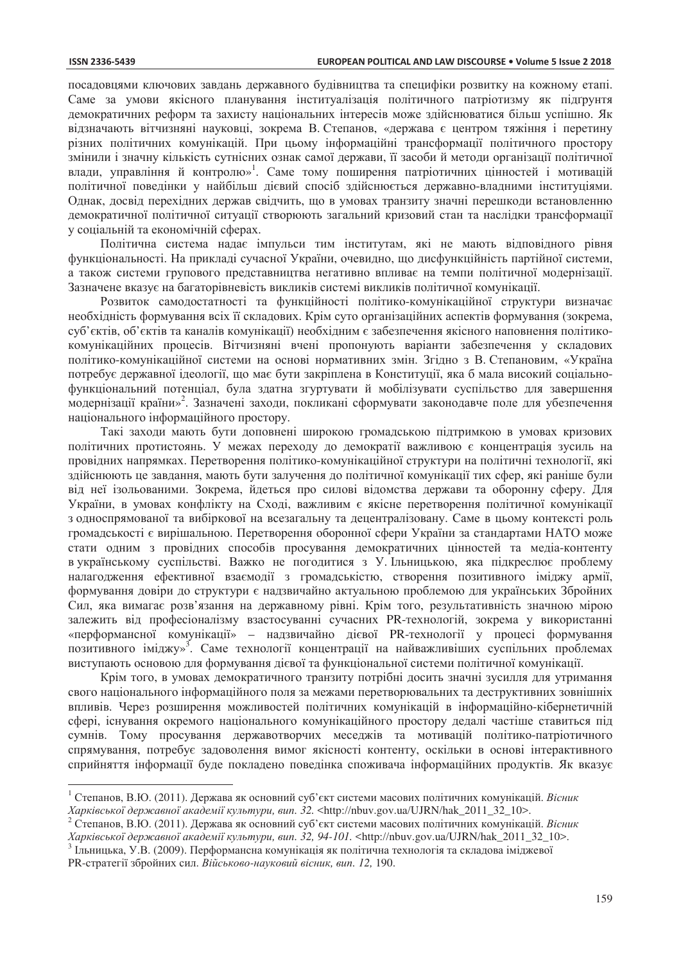$\overline{a}$ 

посадовцями ключових завдань державного будівництва та специфіки розвитку на кожному етапі. Саме за умови якісного планування інституалізація політичного патріотизму як підгрунтя демократичних реформ та захисту національних інтересів може здійснюватися більш успішно. Як відзначають вітчизняні науковці, зокрема В. Степанов, «держава є центром тяжіння і перетину різних політичних комунікацій. При цьому інформаційні трансформації політичного простору змінили і значну кількість сутнісних ознак самої держави, її засоби й методи організації політичної влади, управління й контролю»<sup>1</sup>. Саме тому поширення патріотичних цінностей і мотивацій політичної поведінки у найбільш дієвий спосіб здійснюється державно-владними інституціями. Однак, досвід перехідних держав свідчить, що в умовах транзиту значні перешкоди встановленню демократичної політичної ситуації створюють загальний кризовий стан та наслідки трансформації у соціальній та економічній сферах.

Політична система надає імпульси тим інститутам, які не мають відповідного рівня функціональності. На прикладі сучасної України, очевидно, що дисфункційність партійної системи, а також системи групового представництва негативно впливає на темпи політичної модернізації. Зазначене вказує на багаторівневість викликів системі викликів політичної комунікації.

Розвиток самодостатності та функційності політико-комунікаційної структури визначає необхідність формування всіх її складових. Крім суто організаційних аспектів формування (зокрема, суб'єктів, об'єктів та каналів комунікації) необхідним є забезпечення якісного наповнення політикокомунікаційних процесів. Вітчизняні вчені пропонують варіанти забезпечення у складових політико-комунікаційної системи на основі нормативних змін. Згідно з В. Степановим, «Україна потребує державної ідеології, що має бути закріплена в Конституції, яка б мала високий соціальнофункціональний потенціал, була здатна згуртувати й мобілізувати суспільство для завершення модернізації країни»<sup>2</sup>. Зазначені заходи, покликані сформувати законодавче поле для убезпечення національного інформаційного простору.

Такі заходи мають бути доповнені широкою громадською підтримкою в умовах кризових політичних протистоянь. У межах переходу до демократії важливою є концентрація зусиль на провідних напрямках. Перетворення політико-комунікаційної структури на політичні технології, які здійснюють це завдання, мають бути залучення до політичної комунікації тих сфер, які раніше були від неї ізольованими. Зокрема, йдеться про силові відомства держави та оборонну сферу. Для України, в умовах конфлікту на Сході, важливим є якісне перетворення політичної комунікації з односпрямованої та вибіркової на всезагальну та децентралізовану. Саме в цьому контексті роль громадськості є вирішальною. Перетворення оборонної сфери України за стандартами НАТО може стати одним з провідних способів просування демократичних цінностей та медіа-контенту в українському суспільстві. Важко не погодитися з У. Ільницькою, яка підкреслює проблему налагодження ефективної взаємодії з громадськістю, створення позитивного іміджу армії, формування довіри до структури є надзвичайно актуальною проблемою для українських Збройних Сил, яка вимагає розв'язання на державному рівні. Крім того, результативність значною мірою залежить від професіоналізму взастосуванні сучасних PR-технологій, зокрема у використанні «перформансної комунікації» – надзвичайно дієвої PR-технології у процесі формування позитивного іміджу»<sup>3</sup>. Саме технології концентрації на найважливіших суспільних проблемах виступають основою для формування дієвої та функціональної системи політичної комунікації.

Крім того, в умовах демократичного транзиту потрібні досить значні зусилля для утримання свого національного інформаційного поля за межами перетворювальних та деструктивних зовнішніх впливів. Через розширення можливостей політичних комунікацій в інформаційно-кібернетичній сфері, існування окремого національного комунікаційного простору дедалі частіше ставиться під сумнів. Тому просування державотворчих меседжів та мотивацій політико-патріотичного спрямування, потребує задоволення вимог якісності контенту, оскільки в основі інтерактивного сприйняття інформації буде покладено поведінка споживача інформаційних продуктів. Як вказує

*Харківської державної академії культури, вип.* 32. <http://nbuv.gov.ua/UJRN/hak\_2011\_32\_10>.<br><sup>2</sup> Степанов, В.Ю. (2011). Держава як основний суб'єкт системи масових політичних комунікацій. *Вісник* Харківської державної академії культури, вип. 32, 94-101. <http://nbuv.gov.ua/UJRN/hak\_2011\_32\_10>.<br><sup>3</sup> Ільницька, У.В. (2009). Перформансна комунікація як політична технологія та складова іміджевої

 $^1$  Степанов, В.Ю. (2011). Держава як основний суб'єкт системи масових політичних комунікацій. Вісник

РК-стратегії збройних сил. Військово-науковий вісник, вип. 12, 190.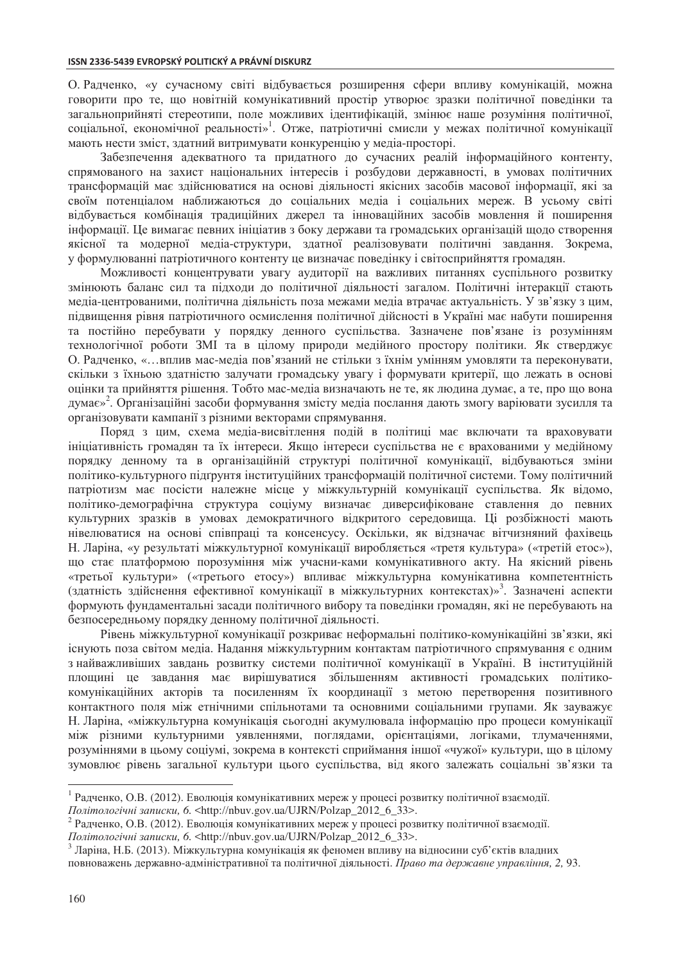О. Радченко, «у сучасному світі відбувається розширення сфери впливу комунікацій, можна говорити про те, що новітній комунікативний простір утворює зразки політичної поведінки та загальноприйняті стереотипи, поле можливих ідентифікацій, змінює наше розуміння політичної, соціальної, економічної реальності»<sup>1</sup>. Отже, патріотичні смисли у межах політичної комунікації мають нести зміст, здатний витримувати конкуренцію у медіа-просторі.

Забезпечення алекватного та прилатного ло сучасних реалій інформаційного контенту, спрямованого на захист національних інтересів і розбудови державності, в умовах політичних трансформацій має здійснюватися на основі діяльності якісних засобів масової інформації, які за своїм потенціалом наближаються до соціальних медіа і соціальних мереж. В усьому світі відбувається комбінація традиційних джерел та інноваційних засобів мовлення й поширення інформації. Це вимагає певних ініціатив з боку держави та громадських організацій щодо створення якісної та модерної медіа-структури, здатної реалізовувати політичні завдання. Зокрема, у формулюванні патріотичного контенту це визначає поведінку і світосприйняття громадян.

Можливості концентрувати увагу аудиторії на важливих питаннях суспільного розвитку змінюють баланс сил та підходи до політичної діяльності загалом. Політичні інтеракції стають медіа-центрованими, політична діяльність поза межами медіа втрачає актуальність. У зв'язку з цим, підвищення рівня патріотичного осмислення політичної дійсності в Україні має набути поширення та постійно перебувати у порядку денного суспільства. Зазначене пов'язане із розумінням технологічної роботи ЗМІ та в цілому природи медійного простору політики. Як стверджує О. Радченко, «…вплив мас-медіа пов'язаний не стільки з їхнім умінням умовляти та переконувати, скільки з їхньою здатністю залучати громадську увагу і формувати критерії, що лежать в основі оцінки та прийняття рішення. Тобто мас-медіа визначають не те, як людина думає, а те, про що вона думає»<sup>2</sup>. Організаційні засоби формування змісту медіа послання дають змогу варіювати зусилля та організовувати кампанії з різними векторами спрямування.

Поряд з цим, схема медіа-висвітлення подій в політиці має включати та враховувати ініціативність громадян та їх інтереси. Якщо інтереси суспільства не є врахованими у медійному порядку денному та в організаційній структурі політичної комунікації, відбуваються зміни політико-культурного підґрунтя інституційних трансформацій політичної системи. Тому політичний патріотизм має посісти належне місце у міжкультурній комунікації суспільства. Як відомо, політико-демографічна структура соціуму визначає диверсифіковане ставлення до певних культурних зразків в умовах демократичного відкритого середовища. Ці розбіжності мають нівелюватися на основі співпраці та консенсусу. Оскільки, як відзначає вітчизняний фахівець Н. Ларіна, «у результаті міжкультурної комунікації виробляється «третя культура» («третій етос»), що стає платформою порозуміння між учасни-ками комунікативного акту. На якісний рівень «третьої культури» («третього етосу») впливає міжкультурна комунікативна компетентність (здатність здійснення ефективної комунікації в міжкультурних контекстах)»<sup>3</sup>. Зазначені аспекти формують фундаментальні засади політичного вибору та поведінки громадян, які не перебувають на безпосередньому порядку денному політичної діяльності.

Рівень міжкультурної комунікації розкриває неформальні політико-комунікаційні зв'язки, які існують поза світом медіа. Надання міжкультурним контактам патріотичного спрямування є одним з найважливших завдань розвитку системи політичної комунікації в Україні. В інституційній площині це завдання має вирішуватися збільшенням активності громадських політикокомунікаційних акторів та посиленням їх координації з метою перетворення позитивного контактного поля між етнічними спільнотами та основними соціальними групами. Як зауважує Н. Ларіна, «міжкультурна комунікація сьогодні акумулювала інформацію про процеси комунікації між різними культурними уявленнями, поглядами, орієнтаціями, логіками, тлумаченнями, розуміннями в цьому соціумі, зокрема в контексті сприймання іншої «чужої» культури, що в цілому зумовлює рівень загальної культури цього суспільства, від якого залежать соціальні зв'язки та

 $\overline{a}$ 

<sup>&</sup>lt;sup>1</sup> Радченко, О.В. (2012). Еволюція комунікативних мереж у процесі розвитку політичної взаємодії.

*Політологічні записки*, 6. <http://nbuv.gov.ua/UJRN/Polzap\_2012\_6\_33>.<br><sup>2</sup> Радченко, О.В. (2012). Еволюція комунікативних мереж у процесі розвитку політичної взаємодії.

*Політологічні записки*, 6. <http://nbuv.gov.ua/UJRN/Polzap\_2012\_6\_33>.<br><sup>3</sup> Ларіна, Н.Б. (2013). Міжкультурна комунікація як феномен впливу на відносини суб'єктів владних повноважень державно-адміністративної та політичної діяльності. Право та державне управління, 2, 93.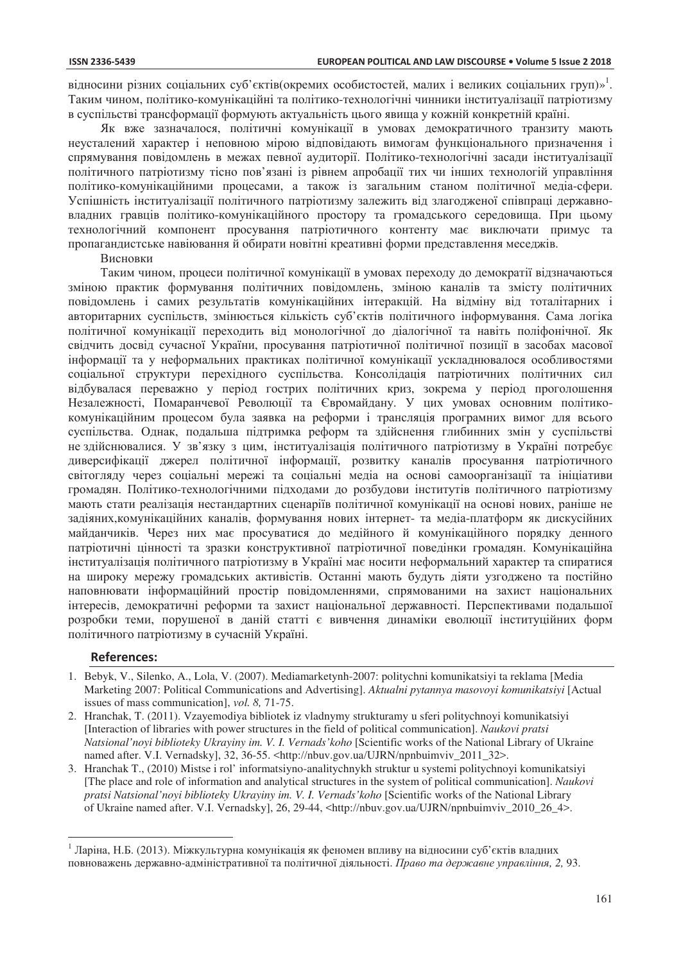відносини різних соціальних суб'єктів(окремих особистостей, малих і великих соціальних груп)»<sup>1</sup>. Таким чином, політико-комунікаційні та політико-технологічні чинники інституалізації патріотизму в суспільстві трансформації формують актуальність цього явища у кожній конкретній країні.

Як вже зазначалося, політичні комунікації в умовах демократичного транзиту мають неусталений характер і неповною мірою відповідають вимогам функціонального призначення і спрямування повіломлень в межах певної аулиторії. Політико-технологічні засали інституалізації політичного патріотизму тісно пов'язані із рівнем апробації тих чи інших технологій управління політико-комунікаційними процесами, а також із загальним станом політичної медіа-сфери. Успішність інституалізації політичного патріотизму залежить від злагодженої співпраці державновладних гравців політико-комунікаційного простору та громадського середовища. При цьому технологічний компонент просування патріотичного контенту має виключати примус та пропагандистське навіювання й обирати новітні креативні форми представлення меседжів.

#### Висновки

Таким чином, процеси політичної комунікації в умовах перехолу ло лемократії вілзначаються зміною практик формування політичних повідомлень, зміною каналів та змісту політичних повідомлень і самих результатів комунікаційних інтеракцій. На відміну від тоталітарних і авторитарних суспільств, змінюється кількість суб'єктів політичного інформування. Сама логіка політичної комунікації переходить від монологічної до діалогічної та навіть поліфонічної. Як свідчить досвід сучасної України, просування патріотичної політичної позиції в засобах масової інформації та у неформальних практиках політичної комунікації ускладнювалося особливостями соціальної структури перехідного суспільства. Консолідація патріотичних політичних сил відбувалася переважно у період гострих політичних криз, зокрема у період проголошення Незалежності, Помаранчевої Революції та Євромайдану. У цих умовах основним політикокомунікаційним процесом була заявка на реформи і трансляція програмних вимог для всього суспільства. Однак, подальша підтримка реформ та здійснення глибинних змін у суспільстві не здійснювалися. У зв'язку з цим, інституалізація політичного патріотизму в Україні потребує диверсифікації джерел політичної інформації, розвитку каналів просування патріотичного світогляду через соціальні мережі та соціальні медіа на основі самоорганізації та ініціативи громадян. Політико-технологічними підходами до розбудови інститутів політичного патріотизму мають стати реалізація нестандартних сценаріїв політичної комунікації на основі нових, раніше не задіяних, комунікаційних каналів, формування нових інтернет- та медіа-платформ як дискусійних майданчиків. Через них має просуватися до медійного й комунікаційного порядку денного патріотичні цінності та зразки конструктивної патріотичної поведінки громадян. Комунікаційна інституалізація політичного патріотизму в Україні має носити неформальний характер та спиратися на широку мережу громадських активістів. Останні мають будуть діяти узгоджено та постійно наповнювати інформаційний простір повідомленнями, спрямованими на захист національних інтересів, демократичні реформи та захист національної державності. Перспективами подальшої розробки теми, порушеної в даній статті є вивчення динаміки еволюції інституційних форм політичного патріотизму в сучасній Україні.

#### **References:**

 $\overline{a}$ 

- 1. Bebyk, V., Silenko, A., Lola, V. (2007). Mediamarketynh-2007: politychni komunikatsiyi ta reklama [Media Marketing 2007: Political Communications and Advertising]. *Aktualni pytannya masovoyi komunikatsiyi* [Actual issues of mass communication], *vol. 8,* 71-75.
- 2. Hranchak, T. (2011). Vzayemodiya bibliotek iz vladnymy strukturamy u sferi politychnoyi komunikatsiyi [Interaction of libraries with power structures in the field of political communication]. *Naukovi pratsi Natsional'noyi biblioteky Ukrayiny im. V. I. Vernads'koho* [Scientific works of the National Library of Ukraine named after. V.I. Vernadsky], 32, 36-55. <http://nbuv.gov.ua/UJRN/npnbuimviv\_2011\_32>.
- 3. Hranchak T., (2010) Mistse i rol' informatsiyno-analitychnykh struktur u systemi politychnoyi komunikatsiyi [The place and role of information and analytical structures in the system of political communication]. *Naukovi pratsi Natsional'noyi biblioteky Ukrayiny im. V. I. Vernads'koho* [Scientific works of the National Library of Ukraine named after. V.I. Vernadsky], 26, 29-44, <http://nbuv.gov.ua/UJRN/npnbuimviv\_2010\_26\_4>.

<sup>&</sup>lt;sup>1</sup> Ларіна, Н.Б. (2013). Міжкультурна комунікація як феномен впливу на відносини суб'єктів владних повноважень державно-адміністративної та політичної діяльності. Право та державне управління, 2, 93.